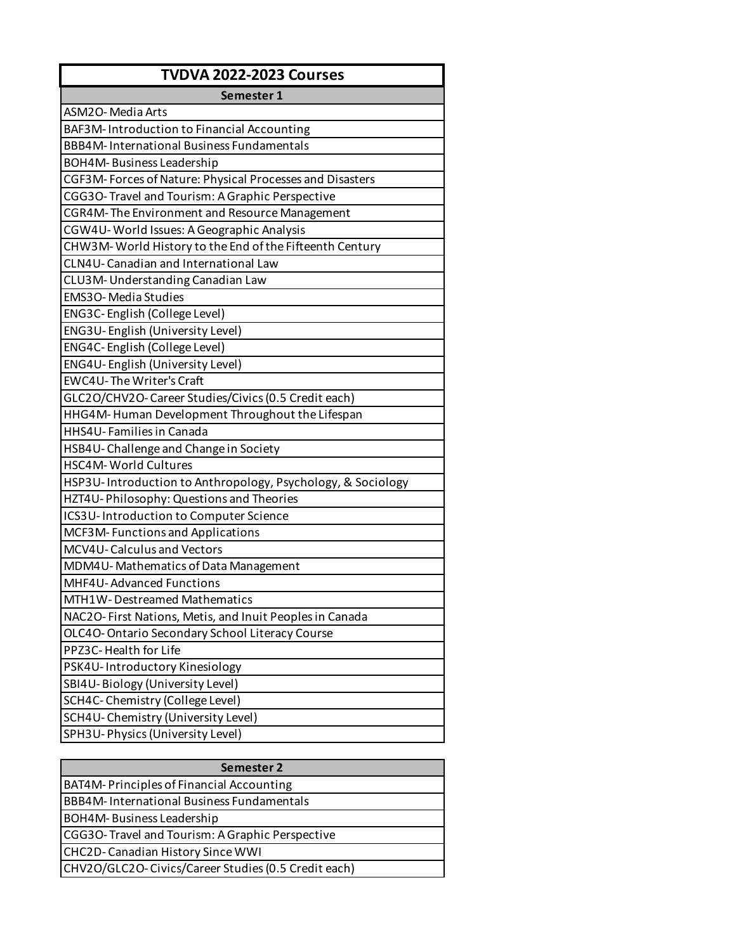| <b>TVDVA 2022-2023 Courses</b>                              |
|-------------------------------------------------------------|
| Semester 1                                                  |
| ASM2O-Media Arts                                            |
| BAF3M-Introduction to Financial Accounting                  |
| <b>BBB4M-International Business Fundamentals</b>            |
| <b>BOH4M-Business Leadership</b>                            |
| CGF3M-Forces of Nature: Physical Processes and Disasters    |
| CGG3O-Travel and Tourism: A Graphic Perspective             |
| CGR4M-The Environment and Resource Management               |
| CGW4U-World Issues: A Geographic Analysis                   |
| CHW3M-World History to the End of the Fifteenth Century     |
| CLN4U-Canadian and International Law                        |
| CLU3M-Understanding Canadian Law                            |
| <b>EMS3O-Media Studies</b>                                  |
| ENG3C-English (College Level)                               |
| ENG3U-English (University Level)                            |
| ENG4C-English (College Level)                               |
| ENG4U-English (University Level)                            |
| <b>EWC4U-The Writer's Craft</b>                             |
| GLC2O/CHV2O-Career Studies/Civics (0.5 Credit each)         |
| HHG4M-Human Development Throughout the Lifespan             |
| HHS4U-Families in Canada                                    |
| HSB4U-Challenge and Change in Society                       |
| <b>HSC4M-World Cultures</b>                                 |
| HSP3U-Introduction to Anthropology, Psychology, & Sociology |
| HZT4U-Philosophy: Questions and Theories                    |
| ICS3U-Introduction to Computer Science                      |
| MCF3M-Functions and Applications                            |
| MCV4U-Calculus and Vectors                                  |
| MDM4U-Mathematics of Data Management                        |
| MHF4U-Advanced Functions                                    |
| MTH1W-Destreamed Mathematics                                |
| NAC2O-First Nations, Metis, and Inuit Peoples in Canada     |
| OLC4O-Ontario Secondary School Literacy Course              |
| PPZ3C-Health for Life                                       |
| PSK4U-Introductory Kinesiology                              |
| SBI4U-Biology (University Level)                            |
| SCH4C-Chemistry (College Level)                             |
| SCH4U-Chemistry (University Level)                          |
| SPH3U-Physics (University Level)                            |

| Semester 2                                          |
|-----------------------------------------------------|
| BAT4M-Principles of Financial Accounting            |
| <b>BBB4M-International Business Fundamentals</b>    |
| BOH4M-Business Leadership                           |
| CGG3O-Travel and Tourism: A Graphic Perspective     |
| CHC2D-Canadian History Since WWI                    |
| CHV2O/GLC2O-Civics/Career Studies (0.5 Credit each) |